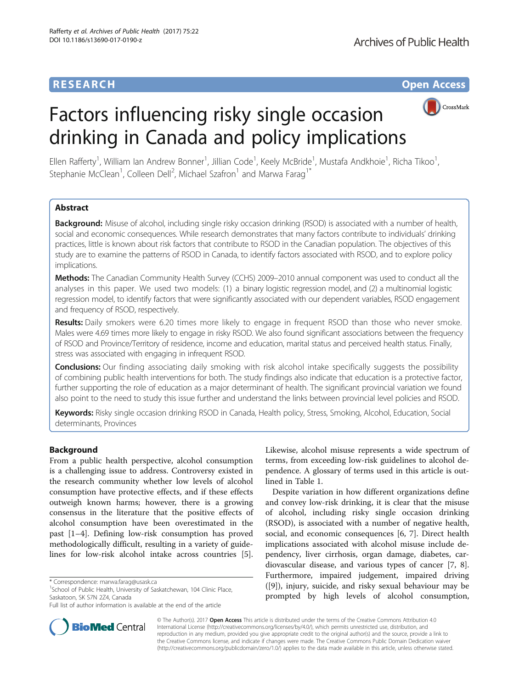# **RESEARCH CHE Open Access**



# Factors influencing risky single occasion drinking in Canada and policy implications

Ellen Rafferty<sup>1</sup>, William Ian Andrew Bonner<sup>1</sup>, Jillian Code<sup>1</sup>, Keely McBride<sup>1</sup>, Mustafa Andkhoie<sup>1</sup>, Richa Tikoo<sup>1</sup> , Stephanie McClean<sup>1</sup>, Colleen Dell<sup>2</sup>, Michael Szafron<sup>1</sup> and Marwa Farag<sup>1\*</sup>

# Abstract

Background: Misuse of alcohol, including single risky occasion drinking (RSOD) is associated with a number of health, social and economic consequences. While research demonstrates that many factors contribute to individuals' drinking practices, little is known about risk factors that contribute to RSOD in the Canadian population. The objectives of this study are to examine the patterns of RSOD in Canada, to identify factors associated with RSOD, and to explore policy implications.

Methods: The Canadian Community Health Survey (CCHS) 2009-2010 annual component was used to conduct all the analyses in this paper. We used two models: (1) a binary logistic regression model, and (2) a multinomial logistic regression model, to identify factors that were significantly associated with our dependent variables, RSOD engagement and frequency of RSOD, respectively.

Results: Daily smokers were 6.20 times more likely to engage in frequent RSOD than those who never smoke. Males were 4.69 times more likely to engage in risky RSOD. We also found significant associations between the frequency of RSOD and Province/Territory of residence, income and education, marital status and perceived health status. Finally, stress was associated with engaging in infrequent RSOD.

**Conclusions:** Our finding associating daily smoking with risk alcohol intake specifically suggests the possibility of combining public health interventions for both. The study findings also indicate that education is a protective factor, further supporting the role of education as a major determinant of health. The significant provincial variation we found also point to the need to study this issue further and understand the links between provincial level policies and RSOD.

Keywords: Risky single occasion drinking RSOD in Canada, Health policy, Stress, Smoking, Alcohol, Education, Social determinants, Provinces

# Background

From a public health perspective, alcohol consumption is a challenging issue to address. Controversy existed in the research community whether low levels of alcohol consumption have protective effects, and if these effects outweigh known harms; however, there is a growing consensus in the literature that the positive effects of alcohol consumption have been overestimated in the past [\[1](#page-8-0)–[4](#page-9-0)]. Defining low-risk consumption has proved methodologically difficult, resulting in a variety of guidelines for low-risk alcohol intake across countries [\[5](#page-9-0)].

<sup>1</sup>School of Public Health, University of Saskatchewan, 104 Clinic Place, Saskatoon, SK S7N 2Z4, Canada

Likewise, alcohol misuse represents a wide spectrum of terms, from exceeding low-risk guidelines to alcohol dependence. A glossary of terms used in this article is outlined in Table [1.](#page-1-0)

Despite variation in how different organizations define and convey low-risk drinking, it is clear that the misuse of alcohol, including risky single occasion drinking (RSOD), is associated with a number of negative health, social, and economic consequences [\[6, 7\]](#page-9-0). Direct health implications associated with alcohol misuse include dependency, liver cirrhosis, organ damage, diabetes, cardiovascular disease, and various types of cancer [[7, 8](#page-9-0)]. Furthermore, impaired judgement, impaired driving ([\[9\]](#page-9-0)), injury, suicide, and risky sexual behaviour may be prompted by high levels of alcohol consumption,



© The Author(s). 2017 **Open Access** This article is distributed under the terms of the Creative Commons Attribution 4.0 International License [\(http://creativecommons.org/licenses/by/4.0/](http://creativecommons.org/licenses/by/4.0/)), which permits unrestricted use, distribution, and reproduction in any medium, provided you give appropriate credit to the original author(s) and the source, provide a link to the Creative Commons license, and indicate if changes were made. The Creative Commons Public Domain Dedication waiver [\(http://creativecommons.org/publicdomain/zero/1.0/](http://creativecommons.org/publicdomain/zero/1.0/)) applies to the data made available in this article, unless otherwise stated.

<sup>\*</sup> Correspondence: [marwa.farag@usask.ca](mailto:marwa.farag@usask.ca) <sup>1</sup>

Full list of author information is available at the end of the article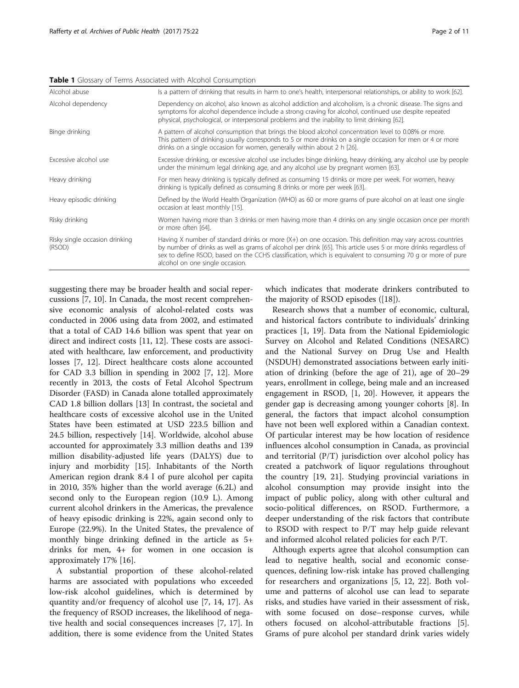#### <span id="page-1-0"></span>Table 1 Glossary of Terms Associated with Alcohol Consumption

| Alcohol abuse                            | Is a pattern of drinking that results in harm to one's health, interpersonal relationships, or ability to work [62].                                                                                                                                                                                                                                                             |
|------------------------------------------|----------------------------------------------------------------------------------------------------------------------------------------------------------------------------------------------------------------------------------------------------------------------------------------------------------------------------------------------------------------------------------|
| Alcohol dependency                       | Dependency on alcohol, also known as alcohol addiction and alcoholism, is a chronic disease. The signs and<br>symptoms for alcohol dependence include a strong craving for alcohol, continued use despite repeated<br>physical, psychological, or interpersonal problems and the inability to limit drinking [62].                                                               |
| Binge drinking                           | A pattern of alcohol consumption that brings the blood alcohol concentration level to 0.08% or more.<br>This pattern of drinking usually corresponds to 5 or more drinks on a single occasion for men or 4 or more<br>drinks on a single occasion for women, generally within about 2 h [26].                                                                                    |
| Excessive alcohol use                    | Excessive drinking, or excessive alcohol use includes binge drinking, heavy drinking, any alcohol use by people<br>under the minimum legal drinking age, and any alcohol use by pregnant women [63].                                                                                                                                                                             |
| Heavy drinking                           | For men heavy drinking is typically defined as consuming 15 drinks or more per week. For women, heavy<br>drinking is typically defined as consuming 8 drinks or more per week [63].                                                                                                                                                                                              |
| Heavy episodic drinking                  | Defined by the World Health Organization (WHO) as 60 or more grams of pure alcohol on at least one single<br>occasion at least monthly [15].                                                                                                                                                                                                                                     |
| Risky drinking                           | Women having more than 3 drinks or men having more than 4 drinks on any single occasion once per month<br>or more often [64].                                                                                                                                                                                                                                                    |
| Risky single occasion drinking<br>(RSOD) | Having X number of standard drinks or more (X+) on one occasion. This definition may vary across countries<br>by number of drinks as well as grams of alcohol per drink [65]. This article uses 5 or more drinks regardless of<br>sex to define RSOD, based on the CCHS classification, which is equivalent to consuming 70 g or more of pure<br>alcohol on one single occasion. |

suggesting there may be broader health and social repercussions [\[7, 10](#page-9-0)]. In Canada, the most recent comprehensive economic analysis of alcohol-related costs was conducted in 2006 using data from 2002, and estimated that a total of CAD 14.6 billion was spent that year on direct and indirect costs [[11, 12\]](#page-9-0). These costs are associated with healthcare, law enforcement, and productivity losses [\[7, 12\]](#page-9-0). Direct healthcare costs alone accounted for CAD 3.3 billion in spending in 2002 [\[7](#page-9-0), [12\]](#page-9-0). More recently in 2013, the costs of Fetal Alcohol Spectrum Disorder (FASD) in Canada alone totalled approximately CAD 1.8 billion dollars [[13\]](#page-9-0) In contrast, the societal and healthcare costs of excessive alcohol use in the United States have been estimated at USD 223.5 billion and 24.5 billion, respectively [[14\]](#page-9-0). Worldwide, alcohol abuse accounted for approximately 3.3 million deaths and 139 million disability-adjusted life years (DALYS) due to injury and morbidity [[15\]](#page-9-0). Inhabitants of the North American region drank 8.4 l of pure alcohol per capita in 2010, 35% higher than the world average (6.2L) and second only to the European region (10.9 L). Among current alcohol drinkers in the Americas, the prevalence of heavy episodic drinking is 22%, again second only to Europe (22.9%). In the United States, the prevalence of monthly binge drinking defined in the article as 5+ drinks for men, 4+ for women in one occasion is approximately 17% [\[16](#page-9-0)].

A substantial proportion of these alcohol-related harms are associated with populations who exceeded low-risk alcohol guidelines, which is determined by quantity and/or frequency of alcohol use [\[7](#page-9-0), [14, 17\]](#page-9-0). As the frequency of RSOD increases, the likelihood of negative health and social consequences increases [\[7](#page-9-0), [17\]](#page-9-0). In addition, there is some evidence from the United States which indicates that moderate drinkers contributed to the majority of RSOD episodes ([[18\]](#page-9-0)).

Research shows that a number of economic, cultural, and historical factors contribute to individuals' drinking practices [[1,](#page-8-0) [19\]](#page-9-0). Data from the National Epidemiologic Survey on Alcohol and Related Conditions (NESARC) and the National Survey on Drug Use and Health (NSDUH) demonstrated associations between early initiation of drinking (before the age of 21), age of 20–29 years, enrollment in college, being male and an increased engagement in RSOD, [\[1](#page-8-0), [20\]](#page-9-0). However, it appears the gender gap is decreasing among younger cohorts [\[8\]](#page-9-0). In general, the factors that impact alcohol consumption have not been well explored within a Canadian context. Of particular interest may be how location of residence influences alcohol consumption in Canada, as provincial and territorial (P/T) jurisdiction over alcohol policy has created a patchwork of liquor regulations throughout the country [\[19](#page-9-0), [21](#page-9-0)]. Studying provincial variations in alcohol consumption may provide insight into the impact of public policy, along with other cultural and socio-political differences, on RSOD. Furthermore, a deeper understanding of the risk factors that contribute to RSOD with respect to P/T may help guide relevant and informed alcohol related policies for each P/T.

Although experts agree that alcohol consumption can lead to negative health, social and economic consequences, defining low-risk intake has proved challenging for researchers and organizations [\[5](#page-9-0), [12](#page-9-0), [22\]](#page-9-0). Both volume and patterns of alcohol use can lead to separate risks, and studies have varied in their assessment of risk, with some focused on dose–response curves, while others focused on alcohol-attributable fractions [\[5](#page-9-0)]. Grams of pure alcohol per standard drink varies widely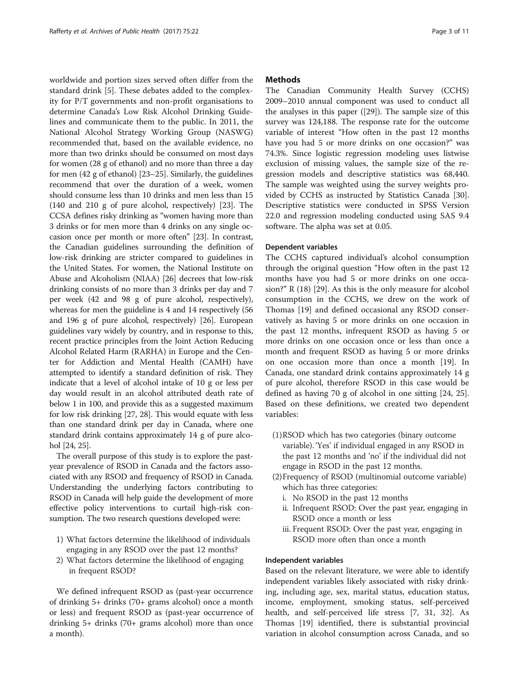worldwide and portion sizes served often differ from the standard drink [\[5\]](#page-9-0). These debates added to the complexity for P/T governments and non-profit organisations to determine Canada's Low Risk Alcohol Drinking Guidelines and communicate them to the public. In 2011, the National Alcohol Strategy Working Group (NASWG) recommended that, based on the available evidence, no more than two drinks should be consumed on most days for women (28 g of ethanol) and no more than three a day for men (42 g of ethanol) [[23](#page-9-0)–[25\]](#page-9-0). Similarly, the guidelines recommend that over the duration of a week, women should consume less than 10 drinks and men less than 15 (140 and 210 g of pure alcohol, respectively) [\[23\]](#page-9-0). The CCSA defines risky drinking as "women having more than 3 drinks or for men more than 4 drinks on any single occasion once per month or more often" [[23](#page-9-0)]. In contrast, the Canadian guidelines surrounding the definition of low-risk drinking are stricter compared to guidelines in the United States. For women, the National Institute on Abuse and Alcoholism (NIAA) [[26](#page-9-0)] decrees that low-risk drinking consists of no more than 3 drinks per day and 7 per week (42 and 98 g of pure alcohol, respectively), whereas for men the guideline is 4 and 14 respectively (56 and 196 g of pure alcohol, respectively) [[26](#page-9-0)]. European guidelines vary widely by country, and in response to this, recent practice principles from the Joint Action Reducing Alcohol Related Harm (RARHA) in Europe and the Center for Addiction and Mental Health (CAMH) have attempted to identify a standard definition of risk. They indicate that a level of alcohol intake of 10 g or less per day would result in an alcohol attributed death rate of below 1 in 100, and provide this as a suggested maximum for low risk drinking [[27](#page-9-0), [28\]](#page-9-0). This would equate with less than one standard drink per day in Canada, where one standard drink contains approximately 14 g of pure alcohol [\[24, 25](#page-9-0)].

The overall purpose of this study is to explore the pastyear prevalence of RSOD in Canada and the factors associated with any RSOD and frequency of RSOD in Canada. Understanding the underlying factors contributing to RSOD in Canada will help guide the development of more effective policy interventions to curtail high-risk consumption. The two research questions developed were:

- 1) What factors determine the likelihood of individuals engaging in any RSOD over the past 12 months?
- 2) What factors determine the likelihood of engaging in frequent RSOD?

We defined infrequent RSOD as (past-year occurrence of drinking 5+ drinks (70+ grams alcohol) once a month or less) and frequent RSOD as (past-year occurrence of drinking 5+ drinks (70+ grams alcohol) more than once a month).

# **Methods**

The Canadian Community Health Survey (CCHS) 2009–2010 annual component was used to conduct all the analyses in this paper ([\[29](#page-9-0)]). The sample size of this survey was 124,188. The response rate for the outcome variable of interest "How often in the past 12 months have you had 5 or more drinks on one occasion?" was 74.3%. Since logistic regression modeling uses listwise exclusion of missing values, the sample size of the regression models and descriptive statistics was 68,440. The sample was weighted using the survey weights provided by CCHS as instructed by Statistics Canada [\[30](#page-9-0)]. Descriptive statistics were conducted in SPSS Version 22.0 and regression modeling conducted using SAS 9.4 software. The alpha was set at 0.05.

### Dependent variables

The CCHS captured individual's alcohol consumption through the original question "How often in the past 12 months have you had 5 or more drinks on one occasion?" R (18) [[29\]](#page-9-0). As this is the only measure for alcohol consumption in the CCHS, we drew on the work of Thomas [\[19\]](#page-9-0) and defined occasional any RSOD conservatively as having 5 or more drinks on one occasion in the past 12 months, infrequent RSOD as having 5 or more drinks on one occasion once or less than once a month and frequent RSOD as having 5 or more drinks on one occasion more than once a month [[19](#page-9-0)]. In Canada, one standard drink contains approximately 14 g of pure alcohol, therefore RSOD in this case would be defined as having 70 g of alcohol in one sitting [[24, 25](#page-9-0)]. Based on these definitions, we created two dependent variables:

- (1)RSOD which has two categories (binary outcome variable). 'Yes' if individual engaged in any RSOD in the past 12 months and 'no' if the individual did not engage in RSOD in the past 12 months.
- (2)Frequency of RSOD (multinomial outcome variable) which has three categories:
	- i. No RSOD in the past 12 months
	- ii. Infrequent RSOD: Over the past year, engaging in RSOD once a month or less
	- iii. Frequent RSOD: Over the past year, engaging in RSOD more often than once a month

# Independent variables

Based on the relevant literature, we were able to identify independent variables likely associated with risky drinking, including age, sex, marital status, education status, income, employment, smoking status, self-perceived health, and self-perceived life stress [[7, 31](#page-9-0), [32\]](#page-9-0). As Thomas [[19](#page-9-0)] identified, there is substantial provincial variation in alcohol consumption across Canada, and so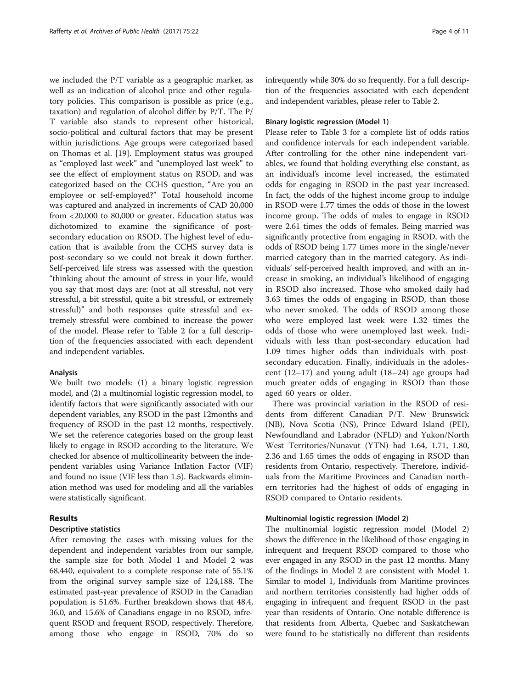we included the P/T variable as a geographic marker, as well as an indication of alcohol price and other regulatory policies. This comparison is possible as price (e.g., taxation) and regulation of alcohol differ by P/T. The P/ T variable also stands to represent other historical, socio-political and cultural factors that may be present within jurisdictions. Age groups were categorized based on Thomas et al. [[19](#page-9-0)]. Employment status was grouped as "employed last week" and "unemployed last week" to see the effect of employment status on RSOD, and was categorized based on the CCHS question, "Are you an employee or self-employed?" Total household income was captured and analyzed in increments of CAD 20,000 from <20,000 to 80,000 or greater. Education status was dichotomized to examine the significance of postsecondary education on RSOD. The highest level of education that is available from the CCHS survey data is post-secondary so we could not break it down further. Self-perceived life stress was assessed with the question "thinking about the amount of stress in your life, would you say that most days are: (not at all stressful, not very stressful, a bit stressful, quite a bit stressful, or extremely stressful)" and both responses quite stressful and extremely stressful were combined to increase the power of the model. Please refer to Table [2](#page-4-0) for a full description of the frequencies associated with each dependent and independent variables.

# Analysis

We built two models: (1) a binary logistic regression model, and (2) a multinomial logistic regression model, to identify factors that were significantly associated with our dependent variables, any RSOD in the past 12months and frequency of RSOD in the past 12 months, respectively. We set the reference categories based on the group least likely to engage in RSOD according to the literature. We checked for absence of multicollinearity between the independent variables using Variance Inflation Factor (VIF) and found no issue (VIF less than 1.5). Backwards elimination method was used for modeling and all the variables were statistically significant.

# Results

# Descriptive statistics

After removing the cases with missing values for the dependent and independent variables from our sample, the sample size for both Model 1 and Model 2 was 68,440, equivalent to a complete response rate of 55.1% from the original survey sample size of 124,188. The estimated past-year prevalence of RSOD in the Canadian population is 51.6%. Further breakdown shows that 48.4, 36.0, and 15.6% of Canadians engage in no RSOD, infrequent RSOD and frequent RSOD, respectively. Therefore, among those who engage in RSOD, 70% do so infrequently while 30% do so frequently. For a full description of the frequencies associated with each dependent and independent variables, please refer to Table [2](#page-4-0).

# Binary logistic regression (Model 1)

Please refer to Table [3](#page-5-0) for a complete list of odds ratios and confidence intervals for each independent variable. After controlling for the other nine independent variables, we found that holding everything else constant, as an individual's income level increased, the estimated odds for engaging in RSOD in the past year increased. In fact, the odds of the highest income group to indulge in RSOD were 1.77 times the odds of those in the lowest income group. The odds of males to engage in RSOD were 2.61 times the odds of females. Being married was significantly protective from engaging in RSOD, with the odds of RSOD being 1.77 times more in the single/never married category than in the married category. As individuals' self-perceived health improved, and with an increase in smoking, an individual's likelihood of engaging in RSOD also increased. Those who smoked daily had 3.63 times the odds of engaging in RSOD, than those who never smoked. The odds of RSOD among those who were employed last week were 1.32 times the odds of those who were unemployed last week. Individuals with less than post-secondary education had 1.09 times higher odds than individuals with postsecondary education. Finally, individuals in the adolescent (12–17) and young adult (18–24) age groups had much greater odds of engaging in RSOD than those aged 60 years or older.

There was provincial variation in the RSOD of residents from different Canadian P/T. New Brunswick (NB), Nova Scotia (NS), Prince Edward Island (PEI), Newfoundland and Labrador (NFLD) and Yukon/North West Territories/Nunavut (YTN) had 1.64, 1.71, 1.80, 2.36 and 1.65 times the odds of engaging in RSOD than residents from Ontario, respectively. Therefore, individuals from the Maritime Provinces and Canadian northern territories had the highest of odds of engaging in RSOD compared to Ontario residents.

### Multinomial logistic regression (Model 2)

The multinomial logistic regression model (Model 2) shows the difference in the likelihood of those engaging in infrequent and frequent RSOD compared to those who ever engaged in any RSOD in the past 12 months. Many of the findings in Model 2 are consistent with Model 1. Similar to model 1, Individuals from Maritime provinces and northern territories consistently had higher odds of engaging in infrequent and frequent RSOD in the past year than residents of Ontario. One notable difference is that residents from Alberta, Quebec and Saskatchewan were found to be statistically no different than residents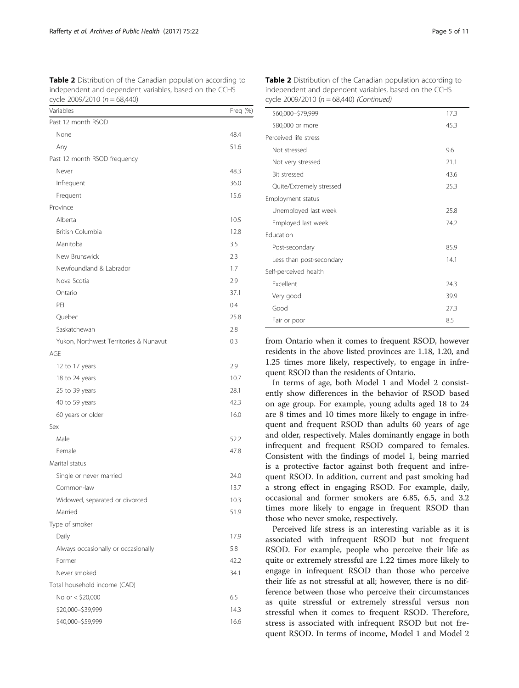<span id="page-4-0"></span>Table 2 Distribution of the Canadian population according to independent and dependent variables, based on the CCHS cycle  $2009/2010$  ( $n = 68,440$ )

| Variables                              | Freq (%) |
|----------------------------------------|----------|
| Past 12 month RSOD                     |          |
| None                                   | 48.4     |
| Any                                    | 51.6     |
| Past 12 month RSOD frequency           |          |
| Never                                  | 48.3     |
| Infrequent                             | 36.0     |
| Frequent                               | 15.6     |
| Province                               |          |
| Alberta                                | 10.5     |
| <b>British Columbia</b>                | 12.8     |
| Manitoba                               | 3.5      |
| New Brunswick                          | 2.3      |
| Newfoundland & Labrador                | 1.7      |
| Nova Scotia                            | 2.9      |
| Ontario                                | 37.1     |
| PEI                                    | 0.4      |
| Ouebec                                 | 25.8     |
| Saskatchewan                           | 2.8      |
| Yukon, Northwest Territories & Nunavut | 0.3      |
| AGE                                    |          |
| 12 to 17 years                         | 2.9      |
| 18 to 24 years                         | 10.7     |
| 25 to 39 years                         | 28.1     |
| 40 to 59 years                         | 42.3     |
| 60 years or older                      | 16.0     |
| Sex                                    |          |
| Male                                   | 52.2     |
| Female                                 | 47.8     |
| Marital status                         |          |
| Single or never married                | 24.0     |
| Common-law                             | 13.7     |
| Widowed, separated or divorced         | 10.3     |
| Married                                | 51.9     |
| Type of smoker                         |          |
| Daily                                  | 17.9     |
| Always occasionally or occasionally    | 5.8      |
| Former                                 | 42.2     |
| Never smoked                           | 34.1     |
| Total household income (CAD)           |          |
| No or < \$20,000                       | 6.5      |
| \$20,000-\$39,999                      | 14.3     |
| \$40,000-\$59,999                      | 16.6     |
|                                        |          |

Table 2 Distribution of the Canadian population according to independent and dependent variables, based on the CCHS cycle 2009/2010 (n = 68,440) (Continued)

| \$60,000-\$79,999        | 17.3 |
|--------------------------|------|
| \$80,000 or more         | 45.3 |
| Perceived life stress    |      |
| Not stressed             | 9.6  |
| Not very stressed        | 21.1 |
| <b>Bit stressed</b>      | 43.6 |
| Quite/Extremely stressed | 25.3 |
| Employment status        |      |
| Unemployed last week     | 25.8 |
| Employed last week       | 74.2 |
| Fducation                |      |
| Post-secondary           | 85.9 |
| Less than post-secondary | 14.1 |
| Self-perceived health    |      |
| <b>Fxcellent</b>         | 24.3 |
| Very good                | 39.9 |
| Good                     | 27.3 |
| Fair or poor             | 8.5  |

from Ontario when it comes to frequent RSOD, however residents in the above listed provinces are 1.18, 1.20, and 1.25 times more likely, respectively, to engage in infrequent RSOD than the residents of Ontario.

In terms of age, both Model 1 and Model 2 consistently show differences in the behavior of RSOD based on age group. For example, young adults aged 18 to 24 are 8 times and 10 times more likely to engage in infrequent and frequent RSOD than adults 60 years of age and older, respectively. Males dominantly engage in both infrequent and frequent RSOD compared to females. Consistent with the findings of model 1, being married is a protective factor against both frequent and infrequent RSOD. In addition, current and past smoking had a strong effect in engaging RSOD. For example, daily, occasional and former smokers are 6.85, 6.5, and 3.2 times more likely to engage in frequent RSOD than those who never smoke, respectively.

Perceived life stress is an interesting variable as it is associated with infrequent RSOD but not frequent RSOD. For example, people who perceive their life as quite or extremely stressful are 1.22 times more likely to engage in infrequent RSOD than those who perceive their life as not stressful at all; however, there is no difference between those who perceive their circumstances as quite stressful or extremely stressful versus non stressful when it comes to frequent RSOD. Therefore, stress is associated with infrequent RSOD but not frequent RSOD. In terms of income, Model 1 and Model 2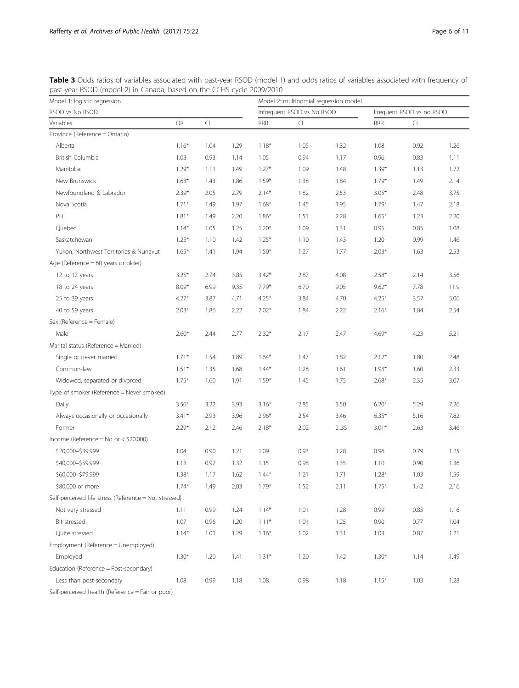<span id="page-5-0"></span>Table 3 Odds ratios of variables associated with past-year RSOD (model 1) and odds ratios of variables associated with frequency of past-year RSOD (model 2) in Canada, based on the CCHS cycle 2009/2010  $\overline{\phantom{a}}$ 

| Model 1: logistic regression                          |         |           |      |                            | Model 2: multinomial regression model |                          |            |                                   |      |  |
|-------------------------------------------------------|---------|-----------|------|----------------------------|---------------------------------------|--------------------------|------------|-----------------------------------|------|--|
| RSOD vs No RSOD                                       |         |           |      | Infrequent RSOD vs No RSOD |                                       | Frequent RSOD vs no RSOD |            |                                   |      |  |
| Variables                                             | OR      | $\subset$ |      | <b>RRR</b>                 | $\subset$                             |                          | <b>RRR</b> | $\mathop{\text{\rm Cl}}\nolimits$ |      |  |
| Province (Reference = Ontario)                        |         |           |      |                            |                                       |                          |            |                                   |      |  |
| Alberta                                               | $1.16*$ | 1.04      | 1.29 | $1.18*$                    | 1.05                                  | 1.32                     | 1.08       | 0.92                              | 1.26 |  |
| British Columbia                                      | 1.03    | 0.93      | 1.14 | 1.05                       | 0.94                                  | 1.17                     | 0.96       | 0.83                              | 1.11 |  |
| Manitoba                                              | $1.29*$ | 1.11      | 1.49 | $1.27*$                    | 1.09                                  | 1.48                     | $1.39*$    | 1.13                              | 1.72 |  |
| New Brunswick                                         | $1.63*$ | 1.43      | 1.86 | $1.59*$                    | 1.38                                  | 1.84                     | $1.79*$    | 1.49                              | 2.14 |  |
| Newfoundland & Labrador                               | $2.39*$ | 2.05      | 2.79 | $2.14*$                    | 1.82                                  | 2.53                     | $3.05*$    | 2.48                              | 3.75 |  |
| Nova Scotia                                           | $1.71*$ | 1.49      | 1.97 | $1.68*$                    | 1.45                                  | 1.95                     | $1.79*$    | 1.47                              | 2.18 |  |
| PEI                                                   | $1.81*$ | 1.49      | 2.20 | $1.86*$                    | 1.51                                  | 2.28                     | $1.65*$    | 1.23                              | 2.20 |  |
| Quebec                                                | $1.14*$ | 1.05      | 1.25 | $1.20*$                    | 1.09                                  | 1.31                     | 0.95       | 0.85                              | 1.08 |  |
| Saskatchewan                                          | $1.25*$ | 1.10      | 1.42 | $1.25*$                    | 1.10                                  | 1.43                     | 1.20       | 0.99                              | 1.46 |  |
| Yukon, Northwest Territories & Nunavut                | $1.65*$ | 1.41      | 1.94 | $1.50*$                    | 1.27                                  | 1.77                     | $2.03*$    | 1.63                              | 2.53 |  |
| Age (Reference $= 60$ years or older)                 |         |           |      |                            |                                       |                          |            |                                   |      |  |
| 12 to 17 years                                        | $3.25*$ | 2.74      | 3.85 | $3.42*$                    | 2.87                                  | 4.08                     | $2.58*$    | 2.14                              | 3.56 |  |
| 18 to 24 years                                        | $8.09*$ | 6.99      | 9.35 | $7.79*$                    | 6.70                                  | 9.05                     | $9.62*$    | 7.78                              | 11.9 |  |
| 25 to 39 years                                        | $4.27*$ | 3.87      | 4.71 | $4.25*$                    | 3.84                                  | 4.70                     | $4.25*$    | 3.57                              | 5.06 |  |
| 40 to 59 years                                        | $2.03*$ | 1.86      | 2.22 | $2.02*$                    | 1.84                                  | 2.22                     | $2.16*$    | 1.84                              | 2.54 |  |
| Sex (Reference = Female)                              |         |           |      |                            |                                       |                          |            |                                   |      |  |
| Male                                                  | $2.60*$ | 2.44      | 2.77 | $2.32*$                    | 2.17                                  | 2.47                     | $4.69*$    | 4.23                              | 5.21 |  |
| Marital status (Reference = Married)                  |         |           |      |                            |                                       |                          |            |                                   |      |  |
| Single or never married                               | $1.71*$ | 1.54      | 1.89 | $1.64*$                    | 1.47                                  | 1.82                     | $2.12*$    | 1.80                              | 2.48 |  |
| Common-law                                            | $1.51*$ | 1.35      | 1.68 | $1.44*$                    | 1.28                                  | 1.61                     | $1.93*$    | 1.60                              | 2.33 |  |
| Widowed, separated or divorced                        | $1.75*$ | 1.60      | 1.91 | $1.59*$                    | 1.45                                  | 1.75                     | $2.68*$    | 2.35                              | 3.07 |  |
| Type of smoker (Reference = Never smoked)             |         |           |      |                            |                                       |                          |            |                                   |      |  |
| Daily                                                 | $3.56*$ | 3.22      | 3.93 | $3.16*$                    | 2.85                                  | 3.50                     | $6.20*$    | 5.29                              | 7.26 |  |
| Always occasionally or occasionally                   | $3.41*$ | 2.93      | 3.96 | $2.96*$                    | 2.54                                  | 3.46                     | $6.35*$    | 5.16                              | 7.82 |  |
| Former                                                | $2.29*$ | 2.12      | 2.46 | $2.18*$                    | 2.02                                  | 2.35                     | $3.01*$    | 2.63                              | 3.46 |  |
| Income (Reference = $No$ or < \$20,000)               |         |           |      |                            |                                       |                          |            |                                   |      |  |
| \$20,000-\$39,999                                     | 1.04    | 0.90      | 1.21 | 1.09                       | 0.93                                  | 1.28                     | 0.96       | 0.79                              | 1.25 |  |
| \$40,000-\$59,999                                     | 1.13    | 0.97      | 1.32 | 1.15                       | 0.98                                  | 1.35                     | 1.10       | 0.90                              | 1.36 |  |
| \$60,000-\$79,999                                     | $1.38*$ | 1.17      | 1.62 | $1.44*$                    | 1.21                                  | 1.71                     | $1.28*$    | 1.03                              | 1.59 |  |
| \$80,000 or more                                      | $1.74*$ | 1.49      | 2.03 | $1.79*$                    | 1.52                                  | 2.11                     | $1.75*$    | 1.42                              | 2.16 |  |
| Self-perceived life stress (Reference = Not stressed) |         |           |      |                            |                                       |                          |            |                                   |      |  |
| Not very stressed                                     | 1.11    | 0.99      | 1.24 | $1.14*$                    | 1.01                                  | 1.28                     | 0.99       | 0.85                              | 1.16 |  |
| Bit stressed                                          | 1.07    | 0.96      | 1.20 | $1.11*$                    | 1.01                                  | 1.25                     | 0.90       | 0.77                              | 1.04 |  |
| Quite stressed                                        | $1.14*$ | 1.01      | 1.29 | $1.16*$                    | 1.02                                  | 1.31                     | 1.03       | 0.87                              | 1.21 |  |
| Employment (Reference = Unemployed)                   |         |           |      |                            |                                       |                          |            |                                   |      |  |
| Employed                                              | $1.30*$ | 1.20      | 1.41 | $1.31*$                    | 1.20                                  | 1.42                     | $1.30*$    | 1.14                              | 1.49 |  |
| Education (Reference = Post-secondary)                |         |           |      |                            |                                       |                          |            |                                   |      |  |
| Less than post-secondary                              | 1.08    | 0.99      | 1.18 | 1.08                       | 0.98                                  | 1.18                     | $1.15*$    | 1.03                              | 1.28 |  |
|                                                       |         |           |      |                            |                                       |                          |            |                                   |      |  |

Self-perceived health (Reference = Fair or poor)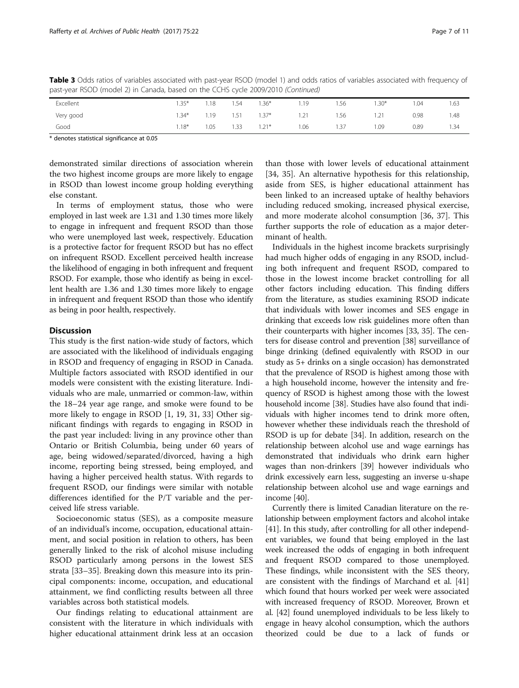| past-year RSOD (model 2) in Canada, based on the CCHS cycle 2009/2010 (Continued) |         |  |                    |  |     |      |       |      |      |
|-----------------------------------------------------------------------------------|---------|--|--------------------|--|-----|------|-------|------|------|
| Excellent                                                                         | $1.35*$ |  | $18$ 154 136*      |  | 119 | 156. | . 30* | 1 04 | 1.63 |
| Very good                                                                         | $1.34*$ |  | $119$ $151$ $137*$ |  | 21  | -56  |       | 0.98 | .48  |

Good 1.18\* 1.05 1.33 1.21\* 1.06 1.37 1.09 0.89 1.34

Table 3 Odds ratios of variables associated with past-year RSOD (model 1) and odds ratios of variables associated with frequency of past-year RSOD (model 2) in Canada, based on the CCHS cycle 2009/2010 (Continued)

\* denotes statistical significance at 0.05

demonstrated similar directions of association wherein the two highest income groups are more likely to engage in RSOD than lowest income group holding everything else constant.

In terms of employment status, those who were employed in last week are 1.31 and 1.30 times more likely to engage in infrequent and frequent RSOD than those who were unemployed last week, respectively. Education is a protective factor for frequent RSOD but has no effect on infrequent RSOD. Excellent perceived health increase the likelihood of engaging in both infrequent and frequent RSOD. For example, those who identify as being in excellent health are 1.36 and 1.30 times more likely to engage in infrequent and frequent RSOD than those who identify as being in poor health, respectively.

# **Discussion**

This study is the first nation-wide study of factors, which are associated with the likelihood of individuals engaging in RSOD and frequency of engaging in RSOD in Canada. Multiple factors associated with RSOD identified in our models were consistent with the existing literature. Individuals who are male, unmarried or common-law, within the 18–24 year age range, and smoke were found to be more likely to engage in RSOD [[1,](#page-8-0) [19, 31](#page-9-0), [33](#page-9-0)] Other significant findings with regards to engaging in RSOD in the past year included: living in any province other than Ontario or British Columbia, being under 60 years of age, being widowed/separated/divorced, having a high income, reporting being stressed, being employed, and having a higher perceived health status. With regards to frequent RSOD, our findings were similar with notable differences identified for the P/T variable and the perceived life stress variable.

Socioeconomic status (SES), as a composite measure of an individual's income, occupation, educational attainment, and social position in relation to others, has been generally linked to the risk of alcohol misuse including RSOD particularly among persons in the lowest SES strata [\[33](#page-9-0)–[35\]](#page-9-0). Breaking down this measure into its principal components: income, occupation, and educational attainment, we find conflicting results between all three variables across both statistical models.

Our findings relating to educational attainment are consistent with the literature in which individuals with higher educational attainment drink less at an occasion

than those with lower levels of educational attainment [[34, 35\]](#page-9-0). An alternative hypothesis for this relationship, aside from SES, is higher educational attainment has been linked to an increased uptake of healthy behaviors including reduced smoking, increased physical exercise, and more moderate alcohol consumption [[36](#page-9-0), [37](#page-9-0)]. This further supports the role of education as a major determinant of health.

Individuals in the highest income brackets surprisingly had much higher odds of engaging in any RSOD, including both infrequent and frequent RSOD, compared to those in the lowest income bracket controlling for all other factors including education. This finding differs from the literature, as studies examining RSOD indicate that individuals with lower incomes and SES engage in drinking that exceeds low risk guidelines more often than their counterparts with higher incomes [\[33, 35\]](#page-9-0). The centers for disease control and prevention [\[38\]](#page-9-0) surveillance of binge drinking (defined equivalently with RSOD in our study as 5+ drinks on a single occasion) has demonstrated that the prevalence of RSOD is highest among those with a high household income, however the intensity and frequency of RSOD is highest among those with the lowest household income [[38](#page-9-0)]. Studies have also found that individuals with higher incomes tend to drink more often, however whether these individuals reach the threshold of RSOD is up for debate [[34](#page-9-0)]. In addition, research on the relationship between alcohol use and wage earnings has demonstrated that individuals who drink earn higher wages than non-drinkers [[39](#page-9-0)] however individuals who drink excessively earn less, suggesting an inverse u-shape relationship between alcohol use and wage earnings and income [\[40\]](#page-9-0).

Currently there is limited Canadian literature on the relationship between employment factors and alcohol intake [[41](#page-9-0)]. In this study, after controlling for all other independent variables, we found that being employed in the last week increased the odds of engaging in both infrequent and frequent RSOD compared to those unemployed. These findings, while inconsistent with the SES theory, are consistent with the findings of Marchand et al. [[41](#page-9-0)] which found that hours worked per week were associated with increased frequency of RSOD. Moreover, Brown et al. [\[42\]](#page-9-0) found unemployed individuals to be less likely to engage in heavy alcohol consumption, which the authors theorized could be due to a lack of funds or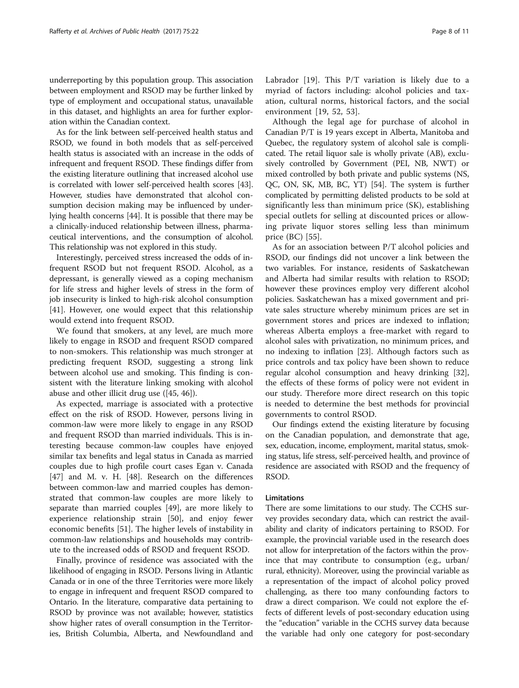underreporting by this population group. This association between employment and RSOD may be further linked by type of employment and occupational status, unavailable in this dataset, and highlights an area for further exploration within the Canadian context.

As for the link between self-perceived health status and RSOD, we found in both models that as self-perceived health status is associated with an increase in the odds of infrequent and frequent RSOD. These findings differ from the existing literature outlining that increased alcohol use is correlated with lower self-perceived health scores [[43](#page-9-0)]. However, studies have demonstrated that alcohol consumption decision making may be influenced by underlying health concerns [\[44](#page-9-0)]. It is possible that there may be a clinically-induced relationship between illness, pharmaceutical interventions, and the consumption of alcohol. This relationship was not explored in this study.

Interestingly, perceived stress increased the odds of infrequent RSOD but not frequent RSOD. Alcohol, as a depressant, is generally viewed as a coping mechanism for life stress and higher levels of stress in the form of job insecurity is linked to high-risk alcohol consumption [[41\]](#page-9-0). However, one would expect that this relationship would extend into frequent RSOD.

We found that smokers, at any level, are much more likely to engage in RSOD and frequent RSOD compared to non-smokers. This relationship was much stronger at predicting frequent RSOD, suggesting a strong link between alcohol use and smoking. This finding is consistent with the literature linking smoking with alcohol abuse and other illicit drug use ([\[45, 46\]](#page-9-0)).

As expected, marriage is associated with a protective effect on the risk of RSOD. However, persons living in common-law were more likely to engage in any RSOD and frequent RSOD than married individuals. This is interesting because common-law couples have enjoyed similar tax benefits and legal status in Canada as married couples due to high profile court cases Egan v. Canada [[47\]](#page-9-0) and M. v. H. [\[48\]](#page-9-0). Research on the differences between common-law and married couples has demonstrated that common-law couples are more likely to separate than married couples [\[49\]](#page-9-0), are more likely to experience relationship strain [[50](#page-9-0)], and enjoy fewer economic benefits [\[51](#page-9-0)]. The higher levels of instability in common-law relationships and households may contribute to the increased odds of RSOD and frequent RSOD.

Finally, province of residence was associated with the likelihood of engaging in RSOD. Persons living in Atlantic Canada or in one of the three Territories were more likely to engage in infrequent and frequent RSOD compared to Ontario. In the literature, comparative data pertaining to RSOD by province was not available; however, statistics show higher rates of overall consumption in the Territories, British Columbia, Alberta, and Newfoundland and Labrador [[19\]](#page-9-0). This P/T variation is likely due to a myriad of factors including: alcohol policies and taxation, cultural norms, historical factors, and the social environment [[19](#page-9-0), [52](#page-9-0), [53](#page-9-0)].

Although the legal age for purchase of alcohol in Canadian P/T is 19 years except in Alberta, Manitoba and Quebec, the regulatory system of alcohol sale is complicated. The retail liquor sale is wholly private (AB), exclusively controlled by Government (PEI, NB, NWT) or mixed controlled by both private and public systems (NS, QC, ON, SK, MB, BC, YT) [[54](#page-9-0)]. The system is further complicated by permitting delisted products to be sold at significantly less than minimum price (SK), establishing special outlets for selling at discounted prices or allowing private liquor stores selling less than minimum price (BC) [[55](#page-9-0)].

As for an association between P/T alcohol policies and RSOD, our findings did not uncover a link between the two variables. For instance, residents of Saskatchewan and Alberta had similar results with relation to RSOD; however these provinces employ very different alcohol policies. Saskatchewan has a mixed government and private sales structure whereby minimum prices are set in government stores and prices are indexed to inflation; whereas Alberta employs a free-market with regard to alcohol sales with privatization, no minimum prices, and no indexing to inflation [\[23\]](#page-9-0). Although factors such as price controls and tax policy have been shown to reduce regular alcohol consumption and heavy drinking [\[32](#page-9-0)], the effects of these forms of policy were not evident in our study. Therefore more direct research on this topic is needed to determine the best methods for provincial governments to control RSOD.

Our findings extend the existing literature by focusing on the Canadian population, and demonstrate that age, sex, education, income, employment, marital status, smoking status, life stress, self-perceived health, and province of residence are associated with RSOD and the frequency of RSOD.

# Limitations

There are some limitations to our study. The CCHS survey provides secondary data, which can restrict the availability and clarity of indicators pertaining to RSOD. For example, the provincial variable used in the research does not allow for interpretation of the factors within the province that may contribute to consumption (e.g., urban/ rural, ethnicity). Moreover, using the provincial variable as a representation of the impact of alcohol policy proved challenging, as there too many confounding factors to draw a direct comparison. We could not explore the effects of different levels of post-secondary education using the "education" variable in the CCHS survey data because the variable had only one category for post-secondary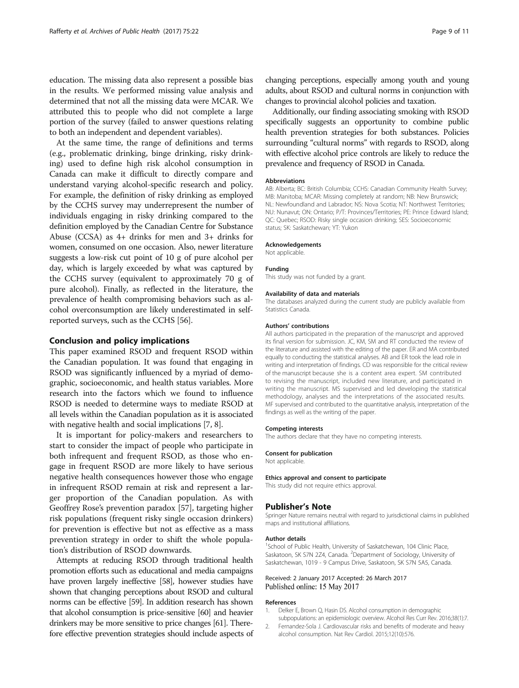<span id="page-8-0"></span>education. The missing data also represent a possible bias in the results. We performed missing value analysis and determined that not all the missing data were MCAR. We attributed this to people who did not complete a large portion of the survey (failed to answer questions relating to both an independent and dependent variables).

At the same time, the range of definitions and terms (e.g., problematic drinking, binge drinking, risky drinking) used to define high risk alcohol consumption in Canada can make it difficult to directly compare and understand varying alcohol-specific research and policy. For example, the definition of risky drinking as employed by the CCHS survey may underrepresent the number of individuals engaging in risky drinking compared to the definition employed by the Canadian Centre for Substance Abuse (CCSA) as 4+ drinks for men and 3+ drinks for women, consumed on one occasion. Also, newer literature suggests a low-risk cut point of 10 g of pure alcohol per day, which is largely exceeded by what was captured by the CCHS survey (equivalent to approximately 70 g of pure alcohol). Finally, as reflected in the literature, the prevalence of health compromising behaviors such as alcohol overconsumption are likely underestimated in selfreported surveys, such as the CCHS [\[56\]](#page-9-0).

# Conclusion and policy implications

This paper examined RSOD and frequent RSOD within the Canadian population. It was found that engaging in RSOD was significantly influenced by a myriad of demographic, socioeconomic, and health status variables. More research into the factors which we found to influence RSOD is needed to determine ways to mediate RSOD at all levels within the Canadian population as it is associated with negative health and social implications [\[7](#page-9-0), [8\]](#page-9-0).

It is important for policy-makers and researchers to start to consider the impact of people who participate in both infrequent and frequent RSOD, as those who engage in frequent RSOD are more likely to have serious negative health consequences however those who engage in infrequent RSOD remain at risk and represent a larger proportion of the Canadian population. As with Geoffrey Rose's prevention paradox [[57](#page-9-0)], targeting higher risk populations (frequent risky single occasion drinkers) for prevention is effective but not as effective as a mass prevention strategy in order to shift the whole population's distribution of RSOD downwards.

Attempts at reducing RSOD through traditional health promotion efforts such as educational and media campaigns have proven largely ineffective [\[58](#page-9-0)], however studies have shown that changing perceptions about RSOD and cultural norms can be effective [\[59](#page-9-0)]. In addition research has shown that alcohol consumption is price-sensitive [\[60](#page-9-0)] and heavier drinkers may be more sensitive to price changes [\[61\]](#page-9-0). Therefore effective prevention strategies should include aspects of

changing perceptions, especially among youth and young adults, about RSOD and cultural norms in conjunction with changes to provincial alcohol policies and taxation.

Additionally, our finding associating smoking with RSOD specifically suggests an opportunity to combine public health prevention strategies for both substances. Policies surrounding "cultural norms" with regards to RSOD, along with effective alcohol price controls are likely to reduce the prevalence and frequency of RSOD in Canada.

#### Abbreviations

AB: Alberta; BC: British Columbia; CCHS: Canadian Community Health Survey; MB: Manitoba; MCAR: Missing completely at random; NB: New Brunswick; NL: Newfoundland and Labrador; NS: Nova Scotia; NT: Northwest Territories; NU: Nunavut; ON: Ontario; P/T: Provinces/Territories; PE: Prince Edward Island; QC: Quebec; RSOD: Risky single occasion drinking; SES: Socioeconomic status; SK: Saskatchewan; YT: Yukon

# Acknowledgements

Not applicable.

#### Funding

This study was not funded by a grant.

#### Availability of data and materials

The databases analyzed during the current study are publicly available from Statistics Canada.

#### Authors' contributions

All authors participated in the preparation of the manuscript and approved its final version for submission. JC, KM, SM and RT conducted the review of the literature and assisted with the editing of the paper. ER and MA contributed equally to conducting the statistical analyses. AB and ER took the lead role in writing and interpretation of findings. CD was responsible for the critical review of the manuscript because she is a content area expert. SM contributed to revising the manuscript, included new literature, and participated in writing the manuscript. MS supervised and led developing the statistical methodology, analyses and the interpretations of the associated results. MF supervised and contributed to the quantitative analysis, interpretation of the findings as well as the writing of the paper.

#### Competing interests

The authors declare that they have no competing interests.

#### Consent for publication

Not applicable.

#### Ethics approval and consent to participate

This study did not require ethics approval.

### Publisher's Note

Springer Nature remains neutral with regard to jurisdictional claims in published maps and institutional affiliations.

#### Author details

<sup>1</sup>School of Public Health, University of Saskatchewan, 104 Clinic Place Saskatoon, SK S7N 2Z4, Canada. <sup>2</sup>Department of Sociology, University of Saskatchewan, 1019 - 9 Campus Drive, Saskatoon, SK S7N 5A5, Canada.

## Received: 2 January 2017 Accepted: 26 March 2017 Published online: 15 May 2017

### References

- 1. Delker E, Brown Q, Hasin DS. Alcohol consumption in demographic subpopulations: an epidemiologic overview. Alcohol Res Curr Rev. 2016;38(1):7.
- 2. Fernandez-Sola J. Cardiovascular risks and benefits of moderate and heavy alcohol consumption. Nat Rev Cardiol. 2015;12(10):576.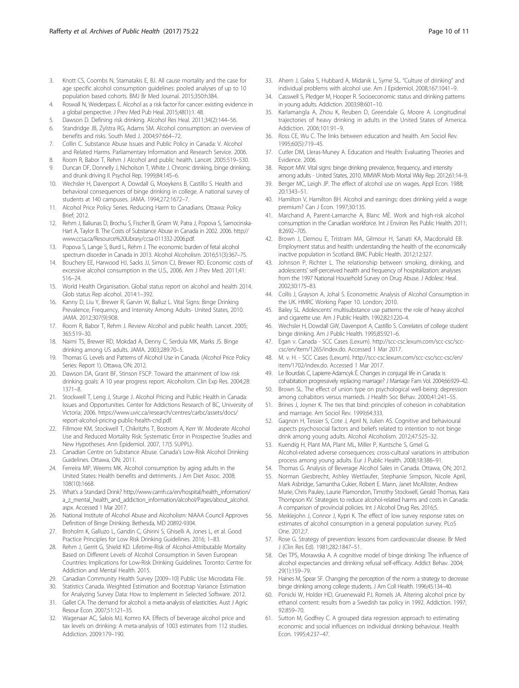- <span id="page-9-0"></span>3. Knott CS, Coombs N, Stamatakis E, BJ. All cause mortality and the case for age specific alcohol consumption guidelines: pooled analyses of up to 10 population based cohorts. BMJ Br Med Journal. 2015;350:h384.
- 4. Roswall N, Weiderpass E. Alcohol as a risk factor for cancer: existing evidence in a global perspective. J Prev Med Pub Heal. 2015;48(1):1. 48.
- 5. Dawson D. Defining risk drinking. Alcohol Res Heal. 2011;34(2):144–56.
- 6. Standridge JB, Zylstra RG, Adams SM. Alcohol consumption: an overview of benefits and risks. South Med J. 2004;97:664–72.
- 7. Collin C. Substance Abuse Issues and Public Policy in Canada: V. Alcohol and Related Harms. Parliamentary Information and Research Service. 2006.
- Room R, Babor T, Rehm J Alcohol and public health. Lancet. 2005:519-530.
- 9. Duncan DF, Donnelly J, Nicholson T, White J. Chronic drinking, binge drinking, and drunk driving II. Psychol Rep. 1999;84:145–6.
- 10. Wechsler H, Davenport A, Dowdall G, Moeykens B, Castillo S. Health and behavioral consequences of binge drinking in college. A national survey of students at 140 campuses. JAMA. 1994;272:1672–7.
- 11. Alcohol Price Policy Series. Reducing Harm to Canadians. Ottawa: Policy Brief; 2012.
- 12. Rehm J, Baliunas D, Brochu S, Fischer B, Gnam W, Patra J, Popova S, Sarnocinska-Hart A, Taylor B. The Costs of Substance Abuse in Canada in 2002. 2006. [http://](http://www.ccsa.ca/Resource%20Library/ccsa-011332-2006.pdf) [www.ccsa.ca/Resource%20Library/ccsa-011332-2006.pdf.](http://www.ccsa.ca/Resource%20Library/ccsa-011332-2006.pdf)
- 13. Popova S, Lange S, Burd L, Rehm J. The economic burden of fetal alcohol spectrum disorder in Canada in 2013. Alcohol Alcoholism. 2016;51(3):367–75.
- 14. Bouchery EE, Harwood HJ, Sacks JJ, Simon CJ, Brewer RD. Economic costs of excessive alcohol consumption in the U.S., 2006. Am J Prev Med. 2011;41: 516–24.
- 15. World Health Organisation. Global status report on alcohol and health 2014. Glob status Rep alcohol. 2014:1–392.
- 16. Kanny D, Liu Y, Brewer R, Garvin W, Balluz L. Vital Signs: Binge Drinking Prevalence, Frequency, and Intensity Among Adults- United States, 2010. JAMA. 2012;307(9):908.
- 17. Room R, Babor T, Rehm J. Review Alcohol and public health. Lancet. 2005; 365:519–30.
- 18. Naimi TS, Brewer RD, Mokdad A, Denny C, Serdula MK, Marks JS. Binge drinking among US adults. JAMA. 2003;289:70–5.
- 19. Thomas G. Levels and Patterns of Alcohol Use in Canada. (Alcohol Price Policy Series: Report 1). Ottawa, ON; 2012.
- 20. Dawson DA, Grant BF, Stinson FSCP. Toward the attainment of low risk drinking goals: A 10 year progress report. Alcoholism. Clin Exp Res. 2004;28: 1371–8.
- 21. Stockwell T, Leng J, Sturge J. Alcohol Pricing and Public Health in Canada: Issues and Opportunities. Center for Addictions Research of BC, University of Victoria; 2006. [https://www.uvic.ca/research/centres/carbc/assets/docs/](https://www.uvic.ca/research/centres/carbc/assets/docs/report-alcohol-pricing-public-health-cnd.pdf) [report-alcohol-pricing-public-health-cnd.pdf.](https://www.uvic.ca/research/centres/carbc/assets/docs/report-alcohol-pricing-public-health-cnd.pdf)
- 22. Fillmore KM, Stockwell T, Chikritzhs T, Bostrom A, Kerr W. Moderate Alcohol Use and Reduced Mortality Risk: Systematic Error in Prospective Studies and New Hypotheses. Ann Epidemiol. 2007, 17(5 SUPPL).
- 23. Canadian Centre on Substance Abuse. Canada's Low-Risk Alcohol Drinking Guidelines. Ottawa, ON; 2011.
- 24. Ferreira MP, Weems MK. Alcohol consumption by aging adults in the United States: Health benefits and detriments. J Am Diet Assoc. 2008; 108(10):1668.
- 25. What's a Standard Drink? [http://www.camh.ca/en/hospital/health\\_information/](http://www.camh.ca/en/hospital/health_information/a_z_mental_health_and_addiction_information/alcohol/Pages/about_alcohol.aspx) [a\\_z\\_mental\\_health\\_and\\_addiction\\_information/alcohol/Pages/about\\_alcohol.](http://www.camh.ca/en/hospital/health_information/a_z_mental_health_and_addiction_information/alcohol/Pages/about_alcohol.aspx) [aspx](http://www.camh.ca/en/hospital/health_information/a_z_mental_health_and_addiction_information/alcohol/Pages/about_alcohol.aspx). Accessed 1 Mar 2017.
- 26. National Institute of Alcohol Abuse and Alcoholism: NIAAA Council Approves Definition of Binge Drinking. Bethesda, MD 20892-9304.
- 27. Broholm K, Galluzo L, Gandin C, Ghirini S, Ghiselli A, Jones L, et al. Good Practice Principles for Low Risk Drinking Guidelines. 2016; 1–83.
- 28. Rehm J, Gerrit G, Shield KD. Lifetime-Risk of Alcohol-Attributable Mortality Based on Different Levels of Alcohol Consumption in Seven European Countries: Implications for Low-Risk Drinking Guidelines. Toronto: Centre for Addiction and Mental Health. 2015.
- 29. Canadian Community Health Survey [2009–10] Public Use Microdata File.
- 30. Statistics Canada. Weighted Estimation and Bootstrap Variance Estimation for Analyzing Survey Data: How to Implement in Selected Software. 2012.
- 31. Gallet CA. The demand for alcohol: a meta-analysis of elasticities. Aust J Agric Resour Econ. 2007;51:121–35.
- 32. Wagenaar AC, Salois MJ, Komro KA. Effects of beverage alcohol price and tax levels on drinking: A meta-analysis of 1003 estimates from 112 studies. Addiction. 2009:179–190.
- 33. Ahern J, Galea S, Hubbard A, Midanik L, Syme SL. "Culture of drinking" and individual problems with alcohol use. Am J Epidemiol. 2008;167:1041–9.
- 34. Casswell S, Pledger M, Hooper R. Socioeconomic status and drinking patterns in young adults. Addiction. 2003;98:601–10.
- 35. Karlamangla A, Zhou K, Reuben D, Greendale G, Moore A. Longitudinal trajectories of heavy drinking in adults in the United States of America. Addiction. 2006;101:91–9.
- 36. Ross CE, Wu C. The links between education and health. Am Sociol Rev. 1995;60(5):719–45.
- 37. Cutler DM, Lleras-Muney A. Education and Health: Evaluating Theories and Evidence. 2006.
- 38. Report MW. Vital signs: binge drinking prevalence, frequency, and intensity
- among adults United States, 2010. MMWR Morb Mortal Wkly Rep. 2012;61:14–9. 39. Berger MC, Leigh JP. The effect of alcohol use on wages. Appl Econ. 1988; 20:1343–51.
- Hamilton V, Hamilton BH. Alcohol and earnings: does drinking yield a wage premium? Can J Econ. 1997;30:135.
- 41. Marchand A, Parent-Lamarche A, Blanc MÈ. Work and high-risk alcohol consumption in the Canadian workforce. Int J Environ Res Public Health. 2011; 8:2692–705.
- 42. Brown J, Demou E, Tristram MA, Gilmour H, Sanati KA, Macdonald EB. Employment status and health: understanding the health of the economically inactive population in Scotland. BMC Public Health. 2012;12:327.
- 43. Johnson P, Richter L. The relationship between smoking, drinking, and adolescents' self-perceived health and frequency of hospitalization: analyses from the 1997 National Household Survey on Drug Abuse. J Adolesc Heal. 2002;30:175–83.
- 44. Collis J, Grayson A, Johal S. Econometric Analysis of Alcohol Consumption in the UK. HMRC Working Paper 10. London; 2010.
- 45. Bailey SL. Adolescents' multisubstance use patterns: the role of heavy alcohol and cigarette use. Am J Public Health. 1992;82:1220–4.
- 46. Wechsler H, Dowdall GW, Davenport A, Castillo S. Correlates of college student binge drinking. Am J Public Health. 1995;85:921–6.
- 47. Egan v. Canada SCC Cases (Lexum). [http://scc-csc.lexum.com/scc-csc/scc](http://scc-csc.lexum.com/scc-csc/scc-csc/en/item/1265/index.do)[csc/en/item/1265/index.do](http://scc-csc.lexum.com/scc-csc/scc-csc/en/item/1265/index.do). Accessed 1 Mar 2017.
- 48. M. v. H. SCC Cases (Lexum). [http://scc-csc.lexum.com/scc-csc/scc-csc/en/](http://scc-csc.lexum.com/scc-csc/scc-csc/en/item/1702/index.do) [item/1702/index.do.](http://scc-csc.lexum.com/scc-csc/scc-csc/en/item/1702/index.do) Accessed 1 Mar 2017.
- 49. Le Bourdais C, Lapierre-Adamcyk É. Changes in conjugal life in Canada: is cohabitation progressively replacing marriage? J Marriage Fam Vol. 2004;66:929–42.
- 50. Brown SL. The effect of union type on psychological well-being: depression among cohabitors versus marrieds. J Health Soc Behav. 2000;41:241–55.
- 51. Brines J, Joyner K. The ties that bind: principles of cohesion in cohabitation and marriage. Am Sociol Rev. 1999;64:333.
- 52. Gagnon H, Tessier S, Cote J, April N, Julien AS. Cognitive and behavioural aspects psychosocial factors and beliefs related to intention to not binge drink among young adults. Alcohol Alcoholism. 2012;47:525–32.
- 53. Kuendig H, Plant MA, Plant ML, Miller P, Kuntsche S, Gmel G. Alcohol-related adverse consequences: cross-cultural variations in attribution process among young adults. Eur J Public Health. 2008;18:386–91.
- 54. Thomas G. Analysis of Beverage Alcohol Sales in Canada. Ottawa, ON; 2012.
- 55. Norman Giesbrecht, Ashley Wettlaufer, Stephanie Simpson, Nicole April, Mark Asbridge, Samantha Cukier, Robert E. Mann, Janet McAllister, Andrew Murie, Chris Pauley, Laurie Plamondon, Timothy Stockwell, Gerald Thomas, Kara Thompson KV. Strategies to reduce alcohol-related harms and costs in Canada: A comparison of provincial policies. Int J Alcohol Drug Res. 2016;5.
- 56. Meiklejohn J, Connor J, Kypri K. The effect of low survey response rates on estimates of alcohol consumption in a general population survey. PLoS One. 2012;7.
- 57. Rose G. Strategy of prevention: lessons from cardiovascular disease. Br Med J (Clin Res Ed). 1981;282:1847–51.
- 58. Oei TPS, Morawska A. A cognitive model of binge drinking: The influence of alcohol expectancies and drinking refusal self-efficacy. Addict Behav. 2004; 29(1):159–79.
- 59. Haines M, Spear SF. Changing the perception of the norm: a strategy to decrease binge drinking among college students. J Am Coll Health. 1996;45:134–40.
- 60. Ponicki W, Holder HD, Gruenewald PJ, Romels JA. Altering alcohol price by ethanol content: results from a Swedish tax policy in 1992. Addiction. 1997; 92:859–70.
- 61. Sutton M, Godfrey C. A grouped data regression approach to estimating economic and social influences on individual drinking behaviour. Health Econ. 1995;4:237–47.